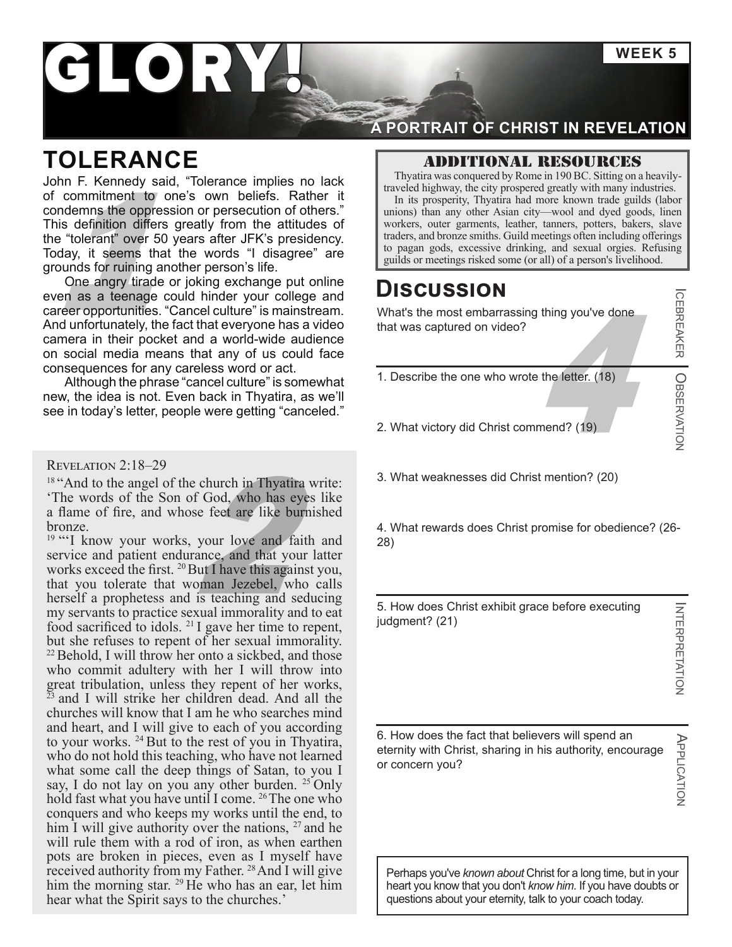**WEEK 5**

# GLORY

## **TOLERANCE**

to pagan gods, excessive drinking, and sexual orgies. Refusion or persecution of others."<br>
The its prosperity, Thyatira had more known trade guilds (labor<br>
in its prosperity, Thyatira had more known trade guilds (labor<br>
un John F. Kennedy said, "Tolerance implies no lack of commitment to one's own beliefs. Rather it condemns the oppression or persecution of others." This definition differs greatly from the attitudes of the "tolerant" over 50 years after JFK's presidency. Today, it seems that the words "I disagree" are grounds for ruining another person's life.

One angry tirade or joking exchange put online even as a teenage could hinder your college and career opportunities. "Cancel culture" is mainstream. And unfortunately, the fact that everyone has a video camera in their pocket and a world-wide audience on social media means that any of us could face consequences for any careless word or act.

Although the phrase "cancel culture" is somewhat new, the idea is not. Even back in Thyatira, as we'll see in today's letter, people were getting "canceled."

#### Revelation 2:18–29

<sup>18</sup> "And to the angel of the church in Thyatira write: 'The words of the Son of God, who has eyes like a flame of fire, and whose feet are like burnished bronze.

church in Thyatira we f God, who has eyes<br>se feet are like burnis<br>your love and faith<br>ance, and that your law flut I have this against<br>pman Jezebel, who <sup>19</sup> "'I know your works, your love and faith and service and patient endurance, and that your latter works exceed the first. <sup>20</sup> But I have this against you, that you tolerate that woman Jezebel, who calls herself a prophetess and is teaching and seducing my servants to practice sexual immorality and to eat food sacrificed to idols. <sup>21</sup> I gave her time to repent, but she refuses to repent of her sexual immorality. 22Behold, I will throw her onto a sickbed, and those who commit adultery with her I will throw into great tribulation, unless they repent of her works, <sup>23</sup> and I will strike her children dead. And all the churches will know that I am he who searches mind and heart, and I will give to each of you according to your works. 24 But to the rest of you in Thyatira, who do not hold this teaching, who have not learned what some call the deep things of Satan, to you I say, I do not lay on you any other burden. <sup>25</sup> Only hold fast what you have until I come. <sup>26</sup> The one who conquers and who keeps my works until the end, to him I will give authority over the nations,  $27$  and he will rule them with a rod of iron, as when earthen pots are broken in pieces, even as I myself have received authority from my Father.<sup>28</sup> And I will give him the morning star. <sup>29</sup> He who has an ear, let him hear what the Spirit says to the churches.'

### **A PORTRAIT OF CHRIST IN REVELATION**

### Additional resources

Thyatira was conquered by Rome in 190 BC. Sitting on a heavilytraveled highway, the city prospered greatly with many industries.

In its prosperity, Thyatira had more known trade guilds (labor unions) than any other Asian city—wool and dyed goods, linen workers, outer garments, leather, tanners, potters, bakers, slave traders, and bronze smiths. Guild meetings often including offerings

### **Discussion**

 $\frac{4 \text{ m/s}}{4 \text{ m}}$ <br>a the letter. (18) What's the most embarrassing thing you've done that was captured on video?

- 1. Describe the one who wrote the letter. (18)
- 2. What victory did Christ commend? (19)
- 3. What weaknesses did Christ mention? (20)

4. What rewards does Christ promise for obedience? (26- 28)

5. How does Christ exhibit grace before executing judgment? (21)

**INTERPRETATION** INTERPRETATION

APPLICATION

APPLICATION

ICEBREAKER

OBSERVATION

6. How does the fact that believers will spend an eternity with Christ, sharing in his authority, encourage or concern you?

Perhaps you've *known about* Christ for a long time, but in your heart you know that you don't *know him*. If you have doubts or questions about your eternity, talk to your coach today.